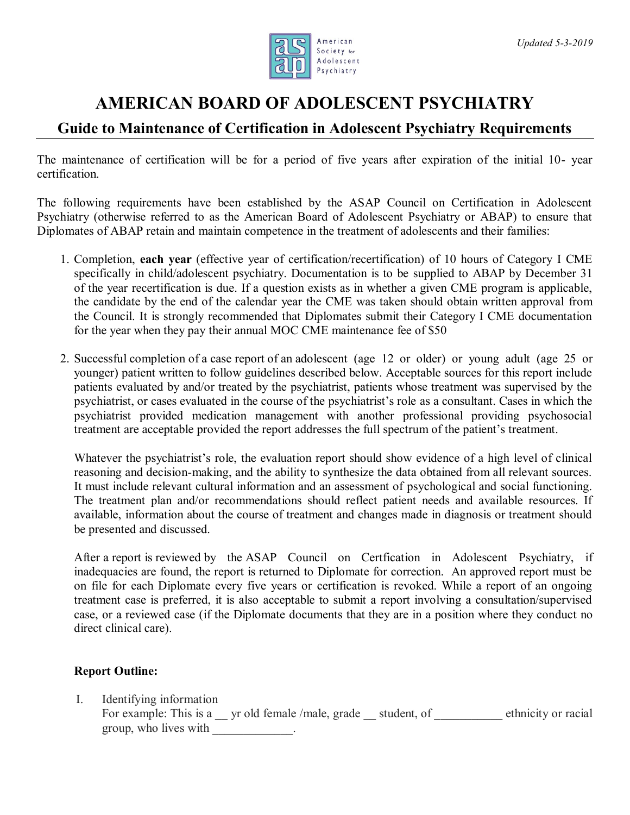

## **AMERICAN BOARD OF ADOLESCENT PSYCHIATRY**

## **Guide to Maintenance of Certification in Adolescent Psychiatry Requirements**

The maintenance of certification will be for a period of five years after expiration of the initial 10- year certification.

The following requirements have been established by the ASAP Council on Certification in Adolescent Psychiatry (otherwise referred to as the American Board of Adolescent Psychiatry or ABAP) to ensure that Diplomates of ABAP retain and maintain competence in the treatment of adolescents and their families:

- 1. Completion, **each year** (effective year of certification/recertification) of 10 hours of Category I CME specifically in child/adolescent psychiatry. Documentation is to be supplied to ABAP by December 31 of the year recertification is due. If a question exists as in whether a given CME program is applicable, the candidate by the end of the calendar year the CME was taken should obtain written approval from the Council. It is strongly recommended that Diplomates submit their Category I CME documentation for the year when they pay their annual MOC CME maintenance fee of \$50
- 2. Successful completion of a case report of an adolescent (age 12 or older) or young adult (age 25 or younger) patient written to follow guidelines described below. Acceptable sources for this report include patients evaluated by and/or treated by the psychiatrist, patients whose treatment was supervised by the psychiatrist, or cases evaluated in the course of the psychiatrist's role as a consultant. Cases in which the psychiatrist provided medication management with another professional providing psychosocial treatment are acceptable provided the report addresses the full spectrum of the patient's treatment.

Whatever the psychiatrist's role, the evaluation report should show evidence of a high level of clinical reasoning and decision-making, and the ability to synthesize the data obtained from all relevant sources. It must include relevant cultural information and an assessment of psychological and social functioning. The treatment plan and/or recommendations should reflect patient needs and available resources. If available, information about the course of treatment and changes made in diagnosis or treatment should be presented and discussed.

After a report is reviewed by the ASAP Council on Certfication in Adolescent Psychiatry, if inadequacies are found, the report is returned to Diplomate for correction. An approved report must be on file for each Diplomate every five years or certification is revoked. While a report of an ongoing treatment case is preferred, it is also acceptable to submit a report involving a consultation/supervised case, or a reviewed case (if the Diplomate documents that they are in a position where they conduct no direct clinical care).

## **Report Outline:**

I. Identifying information For example: This is a z yr old female /male, grade student, of ethnicity or racial group, who lives with \_\_\_\_\_\_\_\_\_\_\_\_\_.